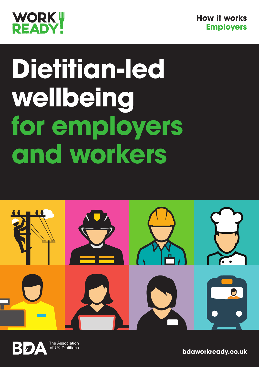



# **Dietitian-led wellbeing for employers and workers**



The Association of UK Dietitians

**bdaworkready.co.uk**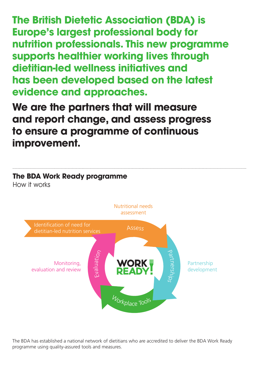**The British Dietetic Association (BDA) is Europe's largest professional body for nutrition professionals. This new programme supports healthier working lives through dietitian-led wellness initiatives and has been developed based on the latest evidence and approaches.**

**We are the partners that will measure and report change, and assess progress to ensure a programme of continuous improvement.** 



The BDA has established a national network of dietitians who are accredited to deliver the BDA Work Ready programme using quality-assured tools and measures.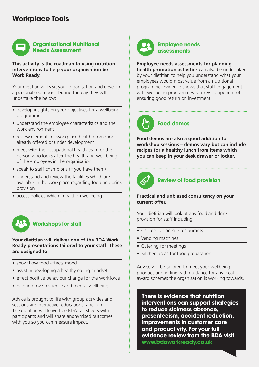## **Workplace Tools**

### **Organisational Nutritional Needs Assessment**

**This activity is the roadmap to using nutrition interventions to help your organisation be Work Ready.** 

Your dietitian will visit your organisation and develop a personalised report. During the day they will undertake the below:

- develop insights on your objectives for a wellbeing programme
- understand the employee characteristics and the work environment
- review elements of workplace health promotion already offered or under development
- meet with the occupational health team or the person who looks after the health and well-being of the employees in the organisation
- speak to staff champions (if you have them)
- understand and review the facilities which are available in the workplace regarding food and drink provision
- access policies which impact on wellbeing



## **Workshops for staff**

**Your dietitian will deliver one of the BDA Work Ready presentations tailored to your staff. These are designed to:**

- show how food affects mood
- assist in developing a healthy eating mindset
- effect positive behaviour change for the workforce
- help improve resilience and mental wellbeing

Advice is brought to life with group activities and sessions are interactive, educational and fun. The dietitian will leave free BDA factsheets with participants and will share anonymised outcomes with you so you can measure impact.



#### **Employee needs assessments**

**Employee needs assessments for planning health promotion activities** can also be undertaken by your dietitian to help you understand what your employees would most value from a nutritional programme. Evidence shows that staff engagement with wellbeing programmes is a key component of ensuring good return on investment.



**Food demos are also a good addition to workshop sessions – demos vary but can include recipes for a healthy lunch from items which you can keep in your desk drawer or locker.**



### **Review of food provision**

#### **Practical and unbiased consultancy on your current offer.**

Your dietitian will look at any food and drink provision for staff including:

- Canteen or on-site restaurants
- Vending machines
- Catering for meetings
- Kitchen areas for food preparation

Advice will be tailored to meet your wellbeing priorities and in-line with guidance for any local award schemes the organisation is working towards.

**There is evidence that nutrition interventions can support strategies to reduce sickness absence, presenteeism, accident reduction, improvements in customer care and productivity. For your full evidence review from the BDA visit www.bdaworkready.co.uk**